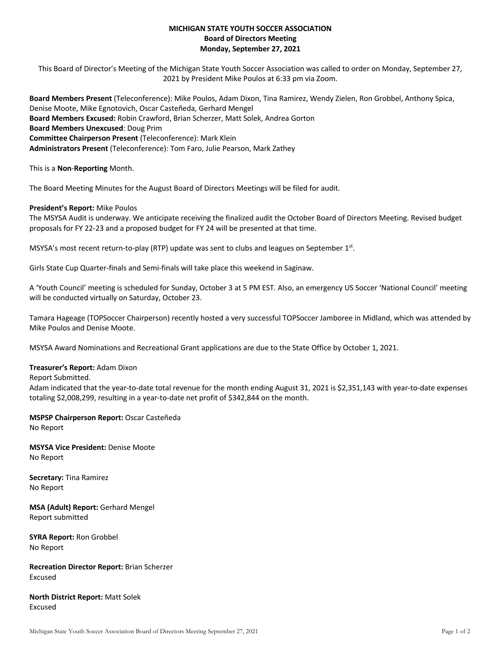# **MICHIGAN STATE YOUTH SOCCER ASSOCIATION Board of Directors Meeting Monday, September 27, 2021**

This Board of Director's Meeting of the Michigan State Youth Soccer Association was called to order on Monday, September 27, 2021 by President Mike Poulos at 6:33 pm via Zoom.

**Board Members Present** (Teleconference): Mike Poulos, Adam Dixon, Tina Ramirez, Wendy Zielen, Ron Grobbel, Anthony Spica, Denise Moote, Mike Egnotovich, Oscar Casteñeda, Gerhard Mengel **Board Members Excused:** Robin Crawford, Brian Scherzer, Matt Solek, Andrea Gorton **Board Members Unexcused**: Doug Prim **Committee Chairperson Present** (Teleconference): Mark Klein **Administrators Present** (Teleconference): Tom Faro, Julie Pearson, Mark Zathey

This is a **Non**-**Reporting** Month.

The Board Meeting Minutes for the August Board of Directors Meetings will be filed for audit.

#### **President's Report:** Mike Poulos

The MSYSA Audit is underway. We anticipate receiving the finalized audit the October Board of Directors Meeting. Revised budget proposals for FY 22-23 and a proposed budget for FY 24 will be presented at that time.

MSYSA's most recent return-to-play (RTP) update was sent to clubs and leagues on September 1st.

Girls State Cup Quarter-finals and Semi-finals will take place this weekend in Saginaw.

A 'Youth Council' meeting is scheduled for Sunday, October 3 at 5 PM EST. Also, an emergency US Soccer 'National Council' meeting will be conducted virtually on Saturday, October 23.

Tamara Hageage (TOPSoccer Chairperson) recently hosted a very successful TOPSoccer Jamboree in Midland, which was attended by Mike Poulos and Denise Moote.

MSYSA Award Nominations and Recreational Grant applications are due to the State Office by October 1, 2021.

## **Treasurer's Report:** Adam Dixon

Report Submitted.

Adam indicated that the year-to-date total revenue for the month ending August 31, 2021 is \$2,351,143 with year-to-date expenses totaling \$2,008,299, resulting in a year-to-date net profit of \$342,844 on the month.

#### **MSPSP Chairperson Report:** Oscar Casteñeda No Report

**MSYSA Vice President:** Denise Moote No Report

**Secretary:** Tina Ramirez No Report

**MSA (Adult) Report:** Gerhard Mengel Report submitted

**SYRA Report:** Ron Grobbel No Report

**Recreation Director Report:** Brian Scherzer Excused

**North District Report:** Matt Solek Excused